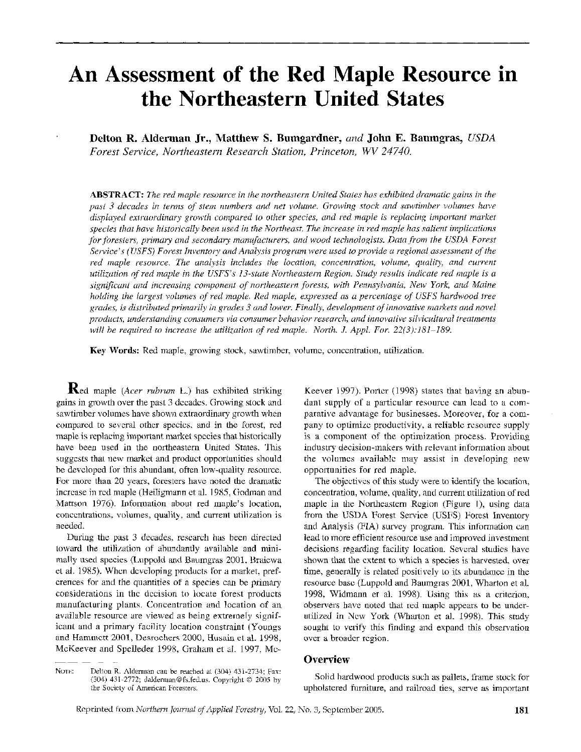# **An Assessment of the Red Maple Resource in the Northeastern United States**

**Delton R. Alderman Jr., Matthew S. Bumgardner,** *and* **John E. Baumgras, USDA**  *Forest Service, Northeastern Research Station, Princeton, WV 24740.* 

ABSTRACT: The red maple resource in the northeastern United States has exhibited dramatic gains in the *past 3 decades in terms of stem numbers and net volume. Growing stock and sawtimber volumes have displayed extraordinary growth compared to other species, and red maple is replacing important market species that have historically been used in the Northeast. The increase in red maple has salient implications* for foresters, primary and secondary manufacturers, and wood technologists. Data from the USDA Forest *Service's (USFS) Forest Inventory and Analysis program were used to provide a regional assessment of the red maple resource. The analysis includes the location, concentration, volume, quality, and current utilization of red maple in the USFS's 13-state Northeastern Region. Study results indicate red maple is a significant and increasing component of northeastern forests, with Pennsylvania, New York, and Maine holding the largest volumes of red maple. Red maple, expressed as a percentage of USFS hardwood tree grades, is distributed primarily in grades 3 and lower. Finally, developtnent of innovative markets and novel products, understanding consumers via consumer behavior research, and innovative silvicultural treatments will be required to increase the utilization of red maple. North. J. Appl. For. 22(3):181-189.* 

**Key Words:** Red maple, growing stock, sawtimber, volume, concentration, utilization.

Red maple *(Acer rubrum* L.) has exhibited striking gains in growth over the past 3 decades. Growing stock and sawtimber volumes have shown extraordinary growth when compared to several other species, and in the forest, red maple is replacing important market species that historically have been used in the northeastern United States. This suggests that new market and product opportunities should be developed for this abundant, often low-quality resource. For more than 20 years, foresters have noted the dramatic increase in red maple (Heiligmann et al. 1985, Godrnan and Mattson 1976). Information about red maple's location, concentrations, volumes, quality, and current utilization is needed.

During the past 3 decades, research has been directed toward the utilization of abundantly available and minimally used species (Luppold and Baumgras 2001, Braiewa et al. 1985). When developing products for a market, preferences for and the quantities of a species can be primary considerations in the decision to locate forest products manufacturing plants. Concentration and location of an available resource are viewed as being extremely significant and a primary facility location constraint (Youngs and Hammett 2001, Desrochers 2000, Husain et al. 1998, McKeever and Spelleder 1998, Graham et al. 1997, Mc-

Keever 1997). Porter (1998) states that having an abundant supply of a particular resource can lead to a comparative advantage for businesses. Moreover, for a company to optimize productivity, a reliable resource supply is a component of the optimization process. Providing industry decision-makers with relevant information about the volumes available may assist in developing new opportunities for red maple.

The objectives of this study were to identify the location, concentration, volume, quality, and current utilization of red maple in the Northeastern Region (Figure I), using data from the USDA Forest Service (USFS) Forest Inventory and Analysis (FIA) survey program. This information can lead to more efficient resource use and improved investment decisions regarding facility location. Several studies have shown that the extent to which a species is harvested, over time, generally is related positively to its abundance in the resource base (Luppold and Baumgras 2001, Wharton et al. 1998, Widmann et al. 1998). Using this as a criterion, observers have noted that red maple appears to be underutilized in New York (Wharton et al. 1998). This study sought to verify this finding and expand this observation over a broader region.

# **Overview**

Solid hardwood products such as pallets, frame stock for upholstered furniture, and railroad ties, serve as important

NOTE: Delton R. Alderman can be reached at (304) 431-2734; Fax: (304) 431-2772; dalderman@fs.fed.ns. Copyright O 2005 by the Society of American Foresters.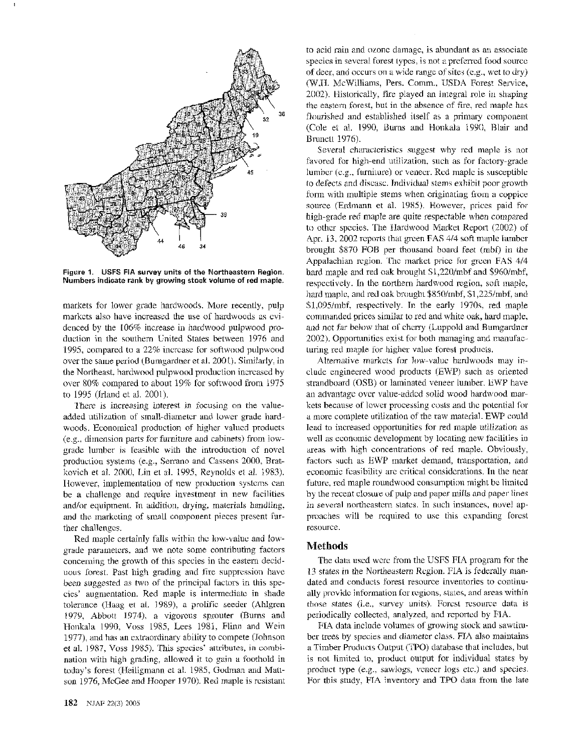

**Figure 1. USFS FIA survey units of the Northeastern Region.**  Numbers indicate rank by growing stock volume of red maple.

markets for lower grade hardwoods. More recently, pulp markets also have increased the use of hardwoods as evidenced by the 106% increase in hardwood pulpwood production in the southern United States between 1976 and 1995, compared to a 22% increase for softwood pulpwood over the same period (Bumgardner et al. 2001). Similarly, in the Northeast, hardwood pulpwood production increased by over 80% compared to about 19% for softwood from 1975 to 1995 (Irland et al. 2001).

There is increasing interest in focusing on the valueadded utilization of small-diameter and lower grade hardwoods. Economical production of higher valued products (e.g., dimension parts for furniture and cabinets) from lowgrade lumber is feasible with the introduction of novel production systems (e.g., Serrano and Cassens 2000, Bratkovich et al. 2000, Lin et al. 1995, Reynolds et al. 1983). However, implementation of new production systems can be a challenge and require investment in new facilities and/or equipment. In addition, drying, materials handling, and the marketing of small component pieces present further challenges.

Red maple certainly falls within the low-value and lowgrade parameters, and we note some contributing factors concerning the growth of this species in the eastern deciduous forest. Past high grading and fire suppression have been suggested as two of the principal factors in this species' augmentation. Red maple is intermediate in shade tolerance (Haag et al. 1989), a prolific seeder (Ahigren 1979, Abbott 1974), a vigorous sprouter (Burns and Honkala 1990, Voss 1985, Lees 1981, Flinn and Wein 1977), and has an extraordinary ability to compete (Johnson et al, 1987, Voss 1985). This species' attributes, in combination with high grading, allowed it to gain a foothold in today's forest (Heiligmann et al. 1985, Godman and Mattson 1976, McGee and Hooper 1970). Red maple is resistant

the eastern forest, but in the absence of fire, red maple has flourished and established itself as a primary component (Cole et al. 1990, Burns and Honkala 1990, Blair and Brunett 1976). Several characteristics suggest why red maple is not favored for high-end utilization, such as for factory-grade

lumber (e.g., furniture) or veneer. Red maple is susceptible to defects and disease. Individual stems exhibit poor growth form with multiple stems when originating from a coppice source (Erdmann et al. 1985). However, prices paid for high-grade red maple are quite respectable when compared to other species. The Hardwood Market Report (2002) of Apr. 13, 2002 reports that green FAS 414 soft maple lumber brought \$870 FOB per thousand board feet (mbf) in the Appalachian region. The market price for green FAS 414 hard maple and red oak brought \$1,220/mbf and \$960/mbf, respectively. **Hn** the northern hardwood region, soft maple, hard maple, and red oak brought \$850/mbf, \$1,225/mbf, and \$1,095/mbf, respectively. In the early 1970s, red maple commanded prices similar to red and white oak, hard maple, and not far below that of cherry (Luppold and Bumgardner 2002). Opportunities exist for both managing and manufacturing red maple for higher value forest products.

to acid rain and ozone damage, is abundant as an associate species in several forest types, is not a preferred food source of deer, and occurs on a wide range of sites (e.g., wet to dry) (W.H. McWilliams, Pers. Comm., USDA Forest Service, 2002). Historically, fire played an integral role in shaping

Alternative markets for low-value hardwoods may include engineered wood products (EWP) such as oriented strandboard (OSB) or laminated veneer lumber. EWP have an advantage over value-added solid wood hardwood markets because of lower processing costs and the potential for a more complete utilization of the raw material. EWP could lead to increased opportunities for red maple utilization as well as economic development by locating new facilities in areas with high concentrations of red maple. Obviously, factors such as EWP market demand, transportation, and economic feasibility are critical considerations. In the near future, red maple roundwood consumption might be limited by the recent closure of pulp and paper mills and paper lines in several northeastern states. in such instances, novel approaches will be required to use this expanding forest resource.

# Methods

The data used were from the USFS HA program for the 13 states in the Northeastern Region. FIA is federally mandated and conducts forest resource inventories to continually provide information for regions, states, and areas within those states (i.e., survey units). Forest resource data is periodically collected, anaiyzed, and reported by FIA.

FIA data include volumes of growing stock and sawrimber trees by species and diameter class.  $FIA$  also maintains a Timber Products Output (TPO) database that includes, but is not limited to, product output for individual states by product type (e.g., sawlogs, veneer logs etc.) and species. For this study, FIA inventory and TPO data from the late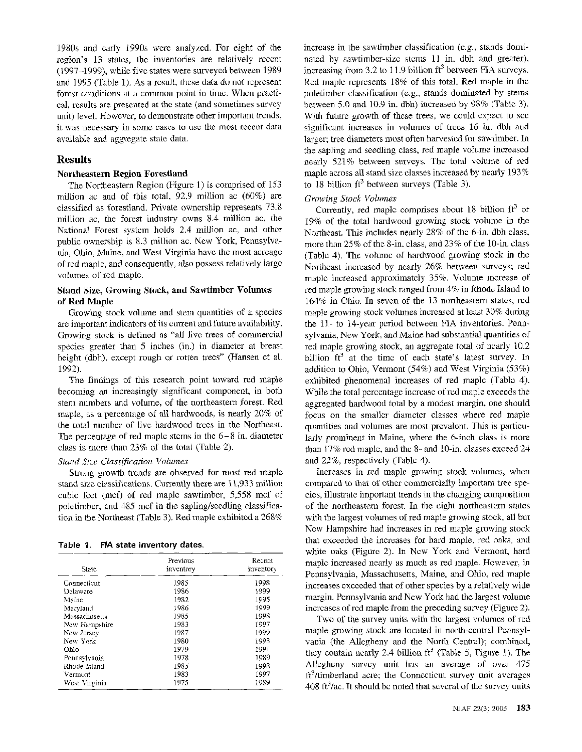1980s and early 1990s were analyzed. For eight of the region's 13 states, the inventories are relatively recent (1997-1999): while five states were surveyed between 1989 and 1995 (Table 1). As a result, these data do not represent forest conditions at a common point in time. When practical, results are presented at the state (and sometimes survey unit) level. However, to demonstrate other important trends, it was necessary in some cases to use the most recent data available and aggregate state data.

# **Results**

### **Northeastern Region Forestland**

The Northeastern Region (Figure 1) is comprised of 153 million ac and of this total, 92.9 million ac (60%) are classified as forestland. Private ownership represents 73.8 million ac, the forest industry owns 8.4 million ac, the National Forest system holds 2.4 million ac, and other public ownership is 8.3 million ac. New York, Pennsylvania, Ohio, Maine, and West Virginia have the most acreage of red maple, and consequently, also possess relatively large volumes of red maple.

# **Stand Size, Growing Stock, and Sawtimber Volumes of Red Maple**

Growing stock volume and stem quantities of a species are important indicators of its current and future availability. Growing stock is defined as "all live trees of commercial species greater than 5 inches (in.) in diameter at breast height (dbh), except rough or rotten trees'' (Hansen et al. 1992).

The findings of this research point toward red maple becoming an increasingly significant component, in both stem numbers and volume, of the northeastern forest. Red maple, as a percentage of all hardwoods, is nearly 20% of the total number of live hardwood trees in the Northeast. The percentage of red maple stems in the 6-8 in. diameter class is more than 23% of the total (Table 2).

#### **Stand Size Classification Volumes**

Strong growth trends are observed for most red maple stand size classifications. Currently there are 11,933 million cubic feet (mcf) of red maple sawtimber, 5,558 mcf of poletimber, and 485 mcf in the sapling/seedling classification in the Northeast (Table 3). Red maple exhibited a 268%

**Table 1. FIA state inventory dates.** 

| State         | Previous<br>inventory | Recent<br>inventory |
|---------------|-----------------------|---------------------|
| Connecticut   | 1985                  | 1998                |
| Delaware      | 1986                  | 1999                |
| Maine         | 1982                  | 1995                |
| Maryland      | 1986                  | 1999                |
| Massachusetts | 1985                  | 1998                |
| New Hampshire | 1983                  | 1997                |
| New Jersey    | 1987                  | 1999                |
| New York      | 1980                  | 1993                |
| Ohio          | 1979                  | 1991                |
| Pennsylvania  | 1978                  | 1989                |
| Rhode Island  | 1985                  | 1998                |
| Vermont       | 1983                  | 1997                |
| West Virginia | 1975                  | 1989                |

increase in the sawtimber classification (e.g., stands dominated by sawtimber-size stems 11 in. dbh and greater), increasing from 3.2 to 11.9 billion  $\text{ft}^3$  between FIA surveys. Red maple represents 18% of this total. Red maple in the poletimber classification (e.g., stands dominated by stems between 5.0 and 10.9 in. dbh) increased by 98% (Table 3). With future growth of these trees, we could expect to see significant increases in volumes of trees 16 in. dbh and larger; tree diameters most often harvested for sawtimber. In the sapling and seedling class, red maple volume increased nearly 521% between surveys. The total volume of red maple across all stand size classes increased by nearly 193% to 18 billion  $ft^3$  between surveys (Table 3).

## *Growing Stock Volumes*

Currently, red maple comprises about 18 billion  $ft^3$  or 19% of the total hardwood growing stock volume in the Northeast. This includes nearly 28% of the 6-in. dbh class, more than 25% of the 8-in. class, and 23% of the 10-in. class (Table 4). The volume of hardwood growing stock in the Northeast increased by nearly 26% between surveys; red maple increased approximately 35%. Volume increase of red maple growing stock ranged from 4% in Rhode Island to 164% in Ohio. In seven of the 13 northeastern states, red maple growing stock volumes increased at least 30% during the 11- to 14-year period between FIA inventories. Pennsylvania, New York, and Maine had substantial quantities of red maple growing stock, an aggregate total of nearly 10.2 billion  $ft^3$  at the time of each state's latest survey. In addition to Ohio, Vermont (54%) and West Virginia (53%) exhibited phenomenal increases of red maple (Table 4). While the total percentage increase of red maple exceeds the aggregated hardwood total by a modest margin, one should focus on the smaller diameter classes where red maple quantities and volumes are most prevalent. This is particularly prominent in Maine, where the 6-inch class is more than 17% red maple, and the 8- and 10-in. classes exceed 24 and 22%, respectively (Table 4).

Increases in red maple growing stock volumes, when compared to that of other commercially important tree species, illustrate important trends in the changing composition of the northeastern forest. In the eight northeastern states with the largest volumes of red maple growing stock, all but New Hampshire had increases in red maple growing stock that exceeded the increases for hard maple, red oaks, and white oaks (Figure 2). In New York and Vermont, hard maple increased nearly as much as red maple. However, in Pennsylvania, Massachusetts, Maine, and Ohio, red maple increases exceeded that of other species by a relatively wide margin. Pennsylvania and New York had the largest volume increases of red maple from the preceding survey (Figure 2).

Two of the survey units with the largest volumes of red maple growing stock are located in north-central Pennsylvania (the Allegheny and the North Central): combined, they contain nearly 2.4 billion  $ft^3$  (Table 5, Figure 1). The Allegheny survey unit has an average of over 475 ft3/timberland acre; the Connecticut survey unit averages 408  $\text{ft}^3/\text{ac}$ . It should be noted that several of the survey units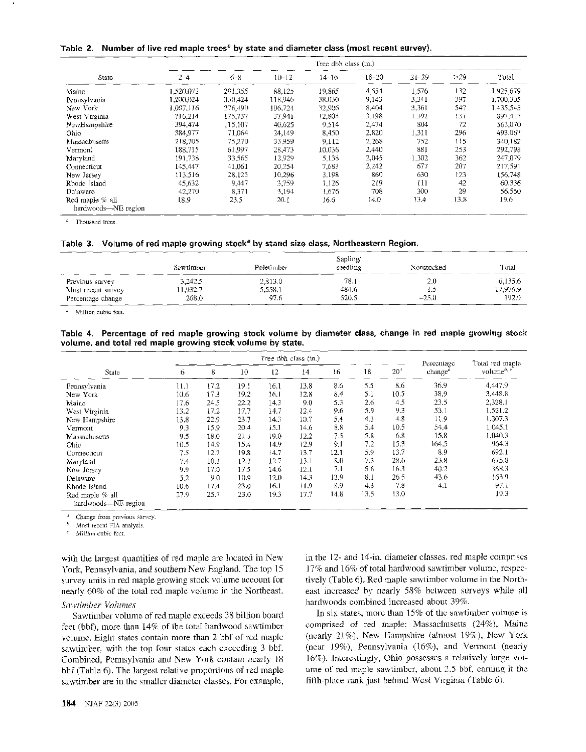Table 2. Number of live red maple trees<sup>a</sup> by state and diameter class (most recent survey).

|                                        |           |         |           | Tree dbh class (in.) |           |           |      |           |
|----------------------------------------|-----------|---------|-----------|----------------------|-----------|-----------|------|-----------|
| State                                  | $2 - 4$   | $6 - 8$ | $10 - 12$ | 14–16                | $18 - 20$ | $21 - 29$ | >29  | Total     |
| Maine                                  | 1.520.072 | 291,355 | 88,125    | 19,865               | 4.554     | 1.576     | 132  | 1,925.679 |
| Pennsylvania                           | 1,200,024 | 330,424 | 118,946   | 38.030               | 9,143     | 3.341     | 397  | 1.700.305 |
| New York                               | 1,007,116 | 276,490 | 106.724   | 32,906               | 8,404     | 3.361     | 547  | 1.435,545 |
| West Virginia                          | 716.214   | 125,737 | 37.941    | 12,804               | 3,198     | 1.392     | 13i  | 897.417   |
| NewHampshire                           | 394,474   | 115,107 | 40,625    | 9.514                | 2,474     | 804       | 72   | 563,070   |
| Ohio                                   | 384,977   | 71.064  | 24,149    | 8,450                | 2.820     | 1,311     | 296  | 493.067   |
| Massachusetts                          | 218,705   | 75,270  | 33,959    | 9,112                | 2,268     | 752       | 115  | 340.182   |
| Vermont                                | 188.715   | 61,997  | 28,473    | 10.036               | 2,440     | 881       | 253  | 292,798   |
| Maryland                               | 191.738   | 33.565  | 12,929    | 5,138                | 2,045     | 1.302     | 362  | 247.079   |
| Connecticut                            | 145,447   | 41,061  | 20.254    | 7,683                | 2.242     | 677       | 207  | 217,591   |
| New Jersey                             | 113,516   | 28,125  | 10,296    | 3.198                | 860       | 630       | 123  | 156,748   |
| Rhode Island                           | 45.632    | 9.447   | 3.759     | 1.126                | 219       | 111       | 42   | 60.336    |
| Delaware                               | 42.270    | 8,371   | 3,194     | 1.676                | 708       | 300       | 29   | 56,550    |
| Red maple % all<br>hardwoods-NE region | 18.9      | 23.5    | 20.1      | 16.6                 | 14.0      | 13.4      | 13.8 | 19.6      |

" Thousmd trees.

#### Table 3. Volume of red maple growing stock<sup>a</sup> by stand size class, Northeastern Region.

|                    | Sawtimber | Poletimber | Sapling/<br>seedling | Nonstocked | Total    |
|--------------------|-----------|------------|----------------------|------------|----------|
| Previous survey    | 3,242.5   | 2,813.0    | 78.1                 | 2.0        | 6,135.6  |
| Most recent survey | 11,932,7  | 5.558.1    | 484.6                |            | 17.976.9 |
| Percentage change  | 268.0     | 97.6       | 520.5                | $-25.0$    | 192.9    |

Million cubic feet,

#### Table 4. Percentage of red maple growing stock volume by diameter class, change in red maple growing stock volume, and total red maple growing stock volume by state.

|                                        |      |      |      |      | Tree dbh class (in.) |      |      |              | Percentage          | Total red maple  |
|----------------------------------------|------|------|------|------|----------------------|------|------|--------------|---------------------|------------------|
| State                                  | 6    | 8    | 10   | 12   | 14                   | 16   | 18   | $20^{\circ}$ | change <sup>a</sup> | volume $b^{b-c}$ |
| Pennsylvania                           | 11.1 | 17.2 | 19.1 | 16.1 | 13.8                 | 8.6  | 5.5  | 8.6          | 36.9                | 4.447.9          |
| New York                               | 10.6 | 17.3 | 192  | 16.1 | 12.8                 | 84   | 5.1  | 10.5         | 38.9                | 3,448.8          |
| Maire                                  | 17.6 | 24.5 | 22.2 | 14.3 | 9.0                  | 5.3  | 2.6  | 4.5          | 23.5                | 2,328.1          |
| West Virginia                          | 13.2 | 17.2 | 17.7 | 14.7 | 12.4                 | 9.6  | 5.9  | 9.3          | 53.1                | 1.521.2          |
| New Hampshire                          | 13.8 | 22.9 | 23.7 | 14.3 | 10.7                 | 5.4  | 4.3  | 4.8          | 11.9                | 1,307.3          |
| Vermout                                | 9.3  | 15.9 | 20.4 | 15.1 | 14.6                 | 8.8  | 5.4  | 10.5         | 54.4                | 1.045.1          |
| Massachusetts                          | 9.5  | 18.0 | 21.3 | 19.0 | 12.2                 | 7.5  | 5.8  | 6.8          | 15.8                | 1.040.3          |
| Ohic                                   | 10.5 | 14.9 | 15.4 | 14.9 | 12.9                 | 9.1  | 7.2  | 15.3         | 164.5               | 964.3            |
| Connecticut                            | 7.5  | 12.7 | 19.8 | 14.7 | 13.7                 | 12.1 | 5.9  | 13.7         | 8.9                 | 692.1            |
| Maryland                               | 7.4  | 10.3 | 12.7 | 12.7 | 13.1                 | 8.0  | 7.3  | 28.6         | 23.8                | 675.8            |
| New Jersey                             | 9.9  | 17.0 | 17.5 | 14.6 | 12.1                 | 7.1  | 5.6  | 16.3         | 40.2                | 368.3            |
| Delaware                               | 5.2  | 9.0  | 10.9 | 12.0 | 14.3                 | 13.9 | 8.1  | 26.5         | 43.6                | 163.9            |
| Rhode Island                           | 10.6 | 17.4 | 23.0 | 16.1 | 11.9                 | 8.9  | 4.3  | 7.8          | 4.1                 | 97.1             |
| Red maple % all<br>hardwoods-NE region | 27.9 | 25.7 | 23.0 | 19.3 | 17.7                 | 14.8 | 13.5 | 13.0         |                     | 19.3             |

Change from previous survey.

Most recent FIA analysis.

Million cubic feet.

with the largest quantities of red maple are located in New York, Pennsylvania, and southern New England. The top 15 survey units in red maple growing stock volume account for nearly 60% of the total red maple volume in the Northeast.

#### *Sawtimber Volumes*

Sawtimber volume of red maple exceeds 38 billion board feet (bbf), more than 14% of the total hardwood sawtimber volume. Eight states contain more than 2 bbf of red maple sawtimber, with the top four states each exceeding 3 bbf. Combined, Pennsylvania and New York contain nearly 18 bbf (Table 6). The largest relative proportions of red maple sawtirnber are in the smaller diameter classes. For example, in the 12- and 14-in. diameter classes, red maple comprises 17% and 16% of total hardwood sawtirnber volume, respectively (Table 6). Red maple sawtimber volume in the Northeast increased by nearly 58% between surveys while all hardwoods combined increased about 39%.

In six states, more than 15% of the sawtimber volume is comprised of red maple: Massachusetts (24%). Maine (nearly 21%), New Hampshire (ahnost 19%), New York (near 19%), Pennsylvania (16%), and Vermont (nearly 16%). Interestingly; Ohio possesses a relatively large volume of red maple sawtirnber, about 2.5 bbf, earning it the fifth-place rank just behind West Virginia (Table 6).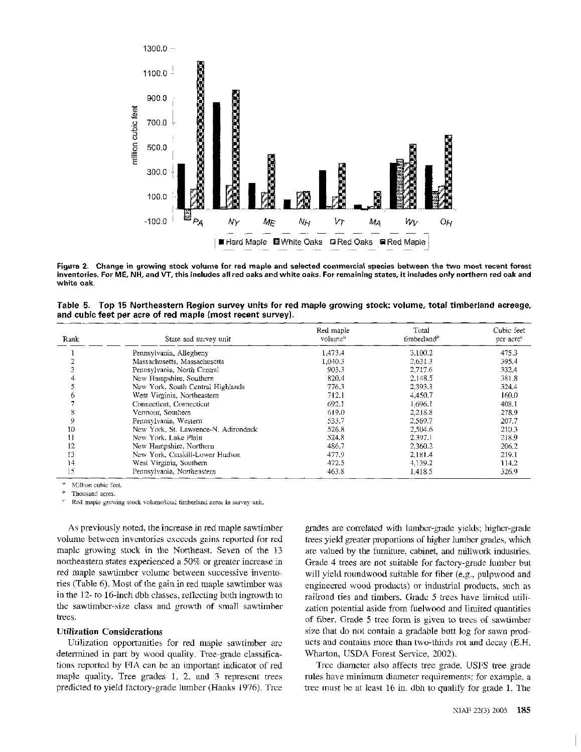

**Figure 2. Change in growing stock volume for red maple and selected commercial species between the two most recent forest inventories. For ME, NH, and VT, this includes all red oaks and white oaks. For remaining states, it includes only northern red oak and white oak.** 

**Table 5. Top 15 Northeastern Region survey units for red maple growing stock: volume, total timberland acreage, and cubic feet per acre of red maple (most recent survey).** 

| Rank | State and survey unit                | Red maple<br>$volume^a$ | Total<br>timberland <sup>b</sup> | Cubic feet<br>per acre <sup>e</sup> |
|------|--------------------------------------|-------------------------|----------------------------------|-------------------------------------|
|      | Pennsylvania, Allegheny              | 1.473.4                 | 3,100.2                          | 475.3                               |
|      | Massachusetts, Massachusctts         | 1,040.3                 | 2.631.3                          | 395.4                               |
|      | Pennsylvania, North Central          | 903.3                   | 2,717.6                          | 332.4                               |
| 4    | New Hampshire, Southern              | 820.4                   | 2.148.5                          | 381.8                               |
|      | New York, South Central Highlands    | 776.3                   | 2,393.3                          | 324.4                               |
|      | West Virginia, Northeastern          | 712.1                   | 4.450.7                          | 160.0                               |
|      | Connecticut, Connecticut             | 692.1                   | 1.696.1                          | 408.1                               |
| 8    | Vermont, Southern                    | 619.0                   | 2.218.8                          | 278.9                               |
| 9    | Pennsylvania, Western                | 533.7                   | 2.569.7                          | 207.7                               |
| 10   | New York, St. Lawrence-N. Adirondack | 526.8                   | 2,504.6                          | 210.3                               |
| 11   | New York, Lake Plain                 | 524.8                   | 2.397.1                          | 218.9                               |
| 12   | New Hampshire, Northern              | 48c.7                   | 2.360.2                          | 206.2                               |
| 13   | New York, Catskill-Lower Hudson      | 477.9                   | 2.181.4                          | 219.1                               |
| 14   | West Virginia, Southern              | 472.5                   | 4.139.2                          | 114.2                               |
| 15   | Pennsylvania, Northeastern           | 463.8                   | 1.418.5                          | 326.9                               |

Million cubic feet.

Thousand acres.

Red maple growing stock volume/total timberland acres in survey unit.

As previously noted, the increase in red maple sawtimber volume between inventories exceeds gains reported for red maple growing stock in the Northeast. Seven of the 13 northeastern states experienced a 50% or greater increase in red maple sawtimber volume between successive inventories (Table 6). Most of the gain in red maple sawtimber was in the 12- to 16-inch dbh classes, reflecting both ingrowth to the sawtimber-size class and growth of small sawtimber trees.

## **Utilization Considerations**

Utilization opportunities for red maple sawtimber are determined in part by wood quality. Tree-grade classifications reported by FIA can be an important indicator of red maple quality. Tree grades 1, 2, and 3 represent trees predicted to yield factory-grade lumber (Hanks 1976). Tree grades are correlated with lumber-grade yields; higher-grade trees yield greater proportions of higher lumber grades, which are valued by the furniture, cabinet, and millwork industries. Grade 4 trees are not suitable for factory-grade lumber but will yield roundwood suitable for fiber (e.g., pulpwood and engineered wood products) or industrial products, such as railroad ties and timbers. Grade *5* trees have limited utilization potential aside from fuelwood and limited quantities of fiber. Grade 5 tree form is given to trees of sawtimber size that do not contain a gradable butt log for sawn products and contains more than two-thirds rot and decay (E.H. Wharton, USDA Forest Service, 2002).

Tree diameter also affects tree grade. USFS tree grade rules have minimum diameter requirements; for example, a tree must be at least 16 in. dbh to qualify for grade 1. The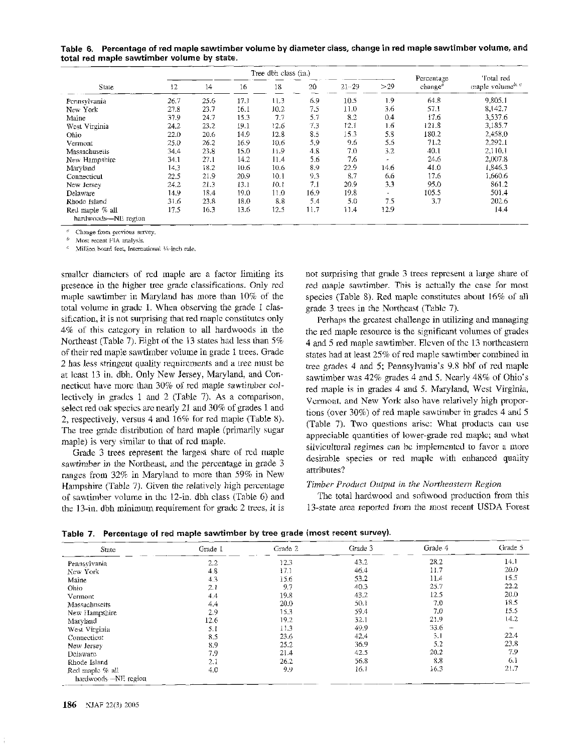Table 6. Percentage of red maple sawtimber volume by diameter class, change in red maple sawtimber volume, and **total red maple sawtimber volume by state.** 

|                                        |      | Tree dbh class (in.) |       |      |      |           |        | Percentage          | Total red                                 |  |
|----------------------------------------|------|----------------------|-------|------|------|-----------|--------|---------------------|-------------------------------------------|--|
| State                                  | 12   | 14                   | 16    | 18   | 20   | $21 - 29$ | >29    | change <sup>2</sup> | maple volume <sup>b, <math>c</math></sup> |  |
| Pennsylvania                           | 26.7 | 25.6                 | 17.1  | 11.3 | 6.9  | 10.5      | 19     | 64.8                | 9,805.1                                   |  |
| New York                               | 27.8 | 23.7                 | 16. l | 10.2 | 7.5  | 11.0      | 36     | 57.1                | 8,142.7                                   |  |
| Maine                                  | 37.9 | 24.7                 | 153   | 77   | 5.7  | 8.2       | 0.4    | 17.6                | 3,537.6                                   |  |
| West Virginia                          | 24.2 | 23.2                 | 19.1  | 12.6 | 7.3  | 12.1      | 16     | 121.8               | 3,185.7                                   |  |
| Ohio                                   | 22.0 | 20.6                 | 14.9  | 12.8 | 8.5  | 15.3      | 53     | 180.2               | 2,458.0                                   |  |
| Vermont                                | 25.0 | 26.2                 | 16.9  | 10.6 | 5.9  | 9.6       | 5.5    | 71.2                | 2.292.1                                   |  |
| Massachusetts                          | 34.4 | 23.8                 | 15.0  | 11.9 | 4.8  | 7.0       | 3.2    | 40.1                | 2,110.1                                   |  |
| New Hampshire                          | 34.1 | 27.1                 | 14.2  | 114  | 5.6  | 7.6       | ÷      | 24.6                | 2,007.8                                   |  |
| Maryland                               | 14.3 | 18.2                 | 10.6  | 10.6 | 8.9  | 22.9      | 14.6   | 41.0                | 1,846.3                                   |  |
| Connecticut                            | 22.5 | 21.9                 | 20.9  | 10.1 | 93   | 8.7       | 66     | 17.6                | 1.660.6                                   |  |
| New Jersey                             | 24.2 | 21.3                 | 13.1  | 10.1 | 7.1  | 20.9      | 3.3    | 95.0                | 861.2                                     |  |
| Delaware                               | 14.9 | 18.4                 | 19.0  | 11.0 | 16.9 | 19.8      | $\sim$ | 105.5               | 501.4                                     |  |
| Rhode Island                           | 31.6 | 23.8                 | 18.0  | 8.8  | 5.4  | 5.0       | 7.5    | 3.7                 | 202.6                                     |  |
| Red maple % all<br>hardwoods-NE region | 17.5 | 16.3                 | 13.6  | 12.5 | 11.7 | 11.4      | 12.9   |                     | 14.4                                      |  |

**<sup>a</sup>**Change from previous survey.

Most recent FIA analysis.

Million board feet, International %-inch rule.

smaller diameters of red maple are a factor limiting its presence in the higher tree grade classifications. Only red maple sawtimber in Maryland has more than 10% of the total volume in grade 1. When observing the grade 1 classification, it is not surprising that red maple constitutes only 4% of this category in relation to all hardwoods in the Northeast (Table 7). Eight of the 13 states had less than *5%*  of their red maple sawtimber volume in grade 1 trees. Grade 2 has less stringent quality requirements and a tree must be at least 13 in. dbh. Only New Jersey, Maryland, and Connecticut have more than 30% of red maple sawtimber collectively in grades 1 and 2 (Table 7). As a comparison, select red oak species are nearly 21 and 30% of grades 1 and 2, respectively, versus 4 and 16% for red maple (Table 8). The tree grade distribution of hard maple (primarily sugar maple) is very similar to that of red maple.

Grade 3 trees represent the largest share of red maple sawtimber in the Northeast, and the percentage in grade 3 ranges from 32% in Maryland to more than 59% in New Hampshire (Table 7). Given the relatively high percentage of sawtimber volume in the 12-in. dbh class (Table 6) and the 13-in. dbh minimum requirement for grade 2 trees, it is not surprising that grade 3 trees represent a large share of red maple sawtimber. This is actually the case for most species (Table 8). Red maple constitutes about 16% of all grade 3 trees in the Northeast (Table 7).

Perhaps the greatest challenge in utilizing and managing the red maple resource is the significant volumes of grades 4 and *5* red maple sawtimber. Eleven of the 13 northeastern states had at least 25% of red maple sawtimber combined in tree grades 4 and *5;* Pennsylvania's 9.8 bbf of red maple sawtimber was 42% grades 4 and *5.* Nearly 48% of Ohio's red maple is in grades 4 and 5. Maryland, West Virginia, Vermont, and New York also have relatively high proportions (over 30%) of red maple sawtimber in grades 4 and *5*  (Table 7). Two questions arise: What products can use appreciable quantities of lower-grade red maple; and what silvicultural regimes can be implemented to favor a more desirable species or red maple with enhanced quality attributes?

#### *Timber Product Output in the Northeastern Region*

The total hardwood and softwood production from this 13-state area reported from the most recent USDA Forest

|  |  |  |  |  |  | Table 7. Percentage of red maple sawtimber by tree grade (most recent survey). |  |
|--|--|--|--|--|--|--------------------------------------------------------------------------------|--|
|--|--|--|--|--|--|--------------------------------------------------------------------------------|--|

| State                 | Grade 1 | Grade 2 | Grade 3 | Grade 4 | Grade 5 |
|-----------------------|---------|---------|---------|---------|---------|
| Pennsylvania          | 2.2     | 12.3    | 43.2    | 28.2    | 14.1    |
| New York              | 4.8     | 171     | 46.4    | 11.7    | 20.0    |
| Maine                 | 4.3     | 15.6    | 53.2    | 11.4    | 15.5    |
| Ohio                  | 2.1     | 97      | 40.3    | 25.7    | 22.2    |
| Vermont               | 44      | 19.8    | 43.2    | 12.5    | 20.0    |
| Massachusetts         | 4.4     | 20.0    | 50.1    | 7.0     | 18.5    |
| New Hampshire         | 2.9     | 15.3    | 59.4    | 7.0     | 15.5    |
| Maryland              | 12.6    | 19.2    | 32.1    | 21.9    | 14.2    |
| West Virginia         | 5.1     | 11.3    | 49.9    | 33.6    |         |
| Connecticut           | 8.5     | 23.6    | 42.4    | 3.1     | 22.4    |
| New Jersey            | 8.9     | 25.2    | 36.9    | 5.2     | 23.8    |
| Delaware              | 7.9     | 21.4    | 42.5    | 20.2    | 7,9     |
| Rhode Island          | 2.1     | 26.2    | 56.8    | 8.8     | -6.1    |
| Red maple % all       | 4.0     | 9.9     | 16.1    | 16.5    | 21.7    |
| hardwoods --NE region |         |         |         |         |         |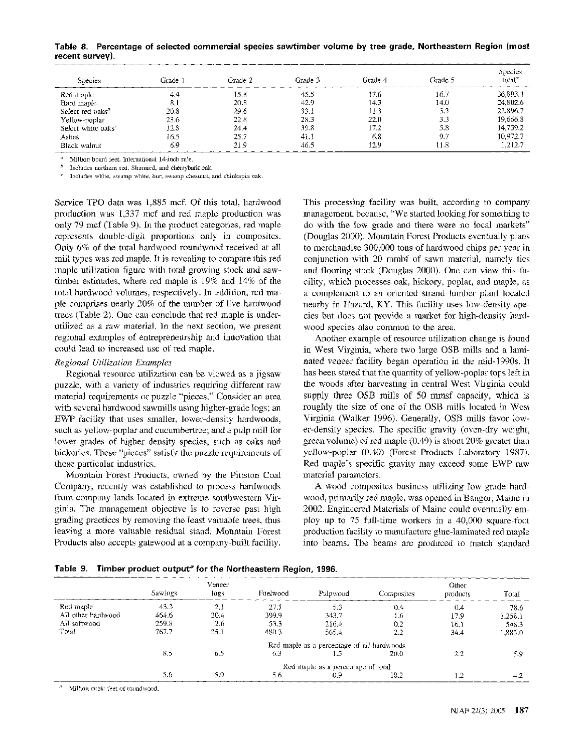| <b>Species</b>                 | Grade i | Grade 2 | Grade 3 | Cirade 4 | Grade 5 | Species<br>total <sup>a</sup> |
|--------------------------------|---------|---------|---------|----------|---------|-------------------------------|
| Red maple                      | 4.4     | 15.8    | 45.5    | 17.6     | 16.7    | 36,893.4                      |
| Hard maple                     | 8.1     | 20.8    | 42.9    | 14.3     | 14.0    | 24.802.6                      |
| Select red oaks <sup>b</sup>   | 20.8    | 29.6    | 33.1    | 11.3     | 5.3     | 22,896.7                      |
| Yellow-poplar                  | 23.6    | 22.8    | 28.3    | 22.0     | 3.3     | 19.666.8                      |
| Select white oaks <sup>e</sup> | 12.8    | 24.4    | 39.8    | 17.2     | 58      | 14.739.2                      |
| Ashes                          | 16.5    | 25.7    | 41.1    | 6.8      | 97      | 10.972.7                      |
| Black walnut                   | 69      | 21.9    | 46.5    | 12.9     | 11.8    | .212.7                        |

**Table 8. Percentage of selected commercial species sawtimber volume by tree grade, Northeastern Region (most recent survey).** 

Million board feet. International 14-inch rule.

Includes northern red, Shumard, and chenybark oak.

Includes white, swamp white, bur, swamp chestnut, and ch'inkapin oak.

Service TPO data was 1,885 mcf. Of this total, hardwood production was 1,337 mcf and red maple production was only 79 mcf (Table 9). In the product categories, red maple represents double-digit proportions only in composites. Only 6% of the total hardwood roundwood received at all mill types was red maple. It is revealing to compare this red maple utilization figure with total growing stock and sawtimber estimates, where red maple is 19% and 14% of the total hardwood volumes, respectively. In addition, red maple comprises nearly 20% of the number of live hardwood trees (Table 2). One can conclude that red maple is underutilized as a raw material. In the next section, we present regional examples of entrepreneurship and innovation that could lead to increased use of red maple.

## *Regional Utilization Examples*

Regional resource utilization can be viewed as a jigsaw puzzle, with a variety of industries requiring different raw material requirements or puzzle "pieces." Consider an area with several hardwood sawmills using higher-grade logs; an EWP facility that uses smaller, lower-density hardwoods, such as yellow-poplar and cucumbertree; and a pulp mill for lower grades of higher density species, such as oaks and hickories. These "pieces" satisfy the puzzle requirements of those particular industries.

Mountain Forest Products, owned by the Pittston Coal Company, recently was established to process hardwoods from company lands located in extreme southwestern Virginia. The management objective is to reverse past high grading practices by removing the least valuable trees, thus leaving a more valuable residual stand. Mountain Forest Products also accepts gatewood at a company-built facility.

This processing facility was built, according to company management, because, "We started looking for something to do with the low grade and there were no local markets" (Douglas 2000). Mountain Forest Products eventually plans to merchandise 300,000 tons of hardwood chips per yeas in conjunction with 20 mmbf of sawn material, namely ties and flooring stock (Douglas 2000). One can view this facility, which processes oak, hickory, poplar, and maple, as a complement to an oriented strand lumber plant located nearby in Hazard, KY. This facility uses low-density species but does not provide a market for high-density hardwood species also common to the area.

Another example of resource utilization change is found in West Virginia, where two large OSB mills and a laminated veneer facility began operation in the mid-1990s. It has been stated that the quantity of yellow-poplar tops left in the woods after harvesting in central West Virginia could supply three OSB mills of 50 mmsf capacity, which is roughly the size of one of the OSB mills located in West Virginia (Walker 1996). Generally, OSB mills favor lower-density species. The specific gravity (oven-dry weight, green volume) of red maple (0.49) is about 20% greater than yellow-poplar (0.40) (Forest Products Laboratory 1987). Red maple's specific gravity may exceed some EWP raw material parameters.

A wood composites business utilizing low-grade hardwood, primarily red maple, was opened in Bangor, Maine in 2002. Engineered Materials of Maine could eventually employ up to 75 full-time workers in a 40,000 square-foot production facility to manufacture glue-laminated red maple into beams. The beams are produced to match standard

|                    |         | Veneer |          |                                            |            | Other    |         |
|--------------------|---------|--------|----------|--------------------------------------------|------------|----------|---------|
|                    | Sawlogs | logs   | Fuelwood | Pulpwood                                   | Composites | products | Total   |
| Red maple          | 43.3    | 2.1    | 27.1     | 5.3                                        | 0.4        | 0.4      | 78.6    |
| All other hardwood | 464.6   | 30.4   | 399.9    | 343.7                                      | 1.6        | 17.9     | 1,258.1 |
| All softwood       | 259.8   | 2.6    | 53.3     | 216.4                                      | 0.2        | 16.1     | 548.3   |
| Total              | 767.7   | 35.1   | 480.3    | 565.4                                      | $2.2\,$    | 34.4     | 1,885.0 |
|                    |         |        |          | Red maple as a percentage of all hardwoods |            |          |         |
|                    | 8.5     | 6.5    | 6.3      | 1.5                                        | 20.0       | 2.2      | 5.9     |
|                    |         |        |          | Red maple as a percentage of total         |            |          |         |
|                    | 5.6     | 5.9    | 5.6      | (0.9)                                      | 18.2       | 12       | 4.2     |

**Table 9. Timber product output<sup>e</sup> for the Northeastern Region, 1996.** 

 $<sup>a</sup>$  Million cubic feet of roundwaod.</sup>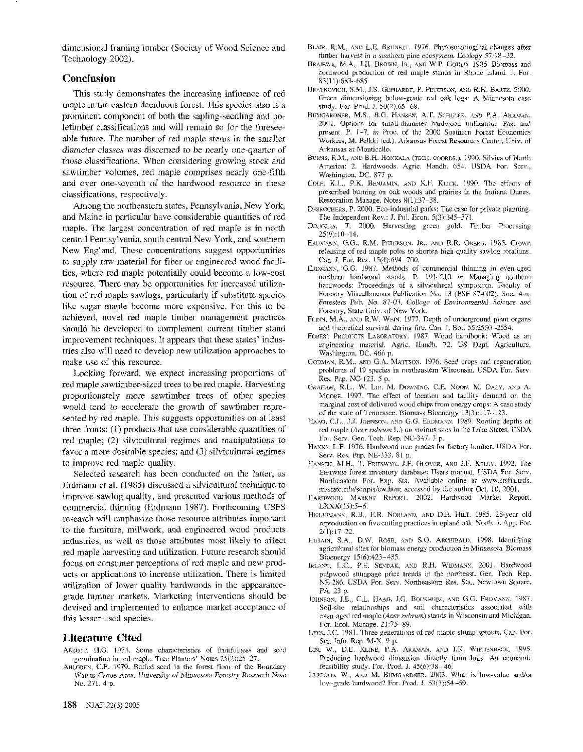dimensional framing iurnber (Society of Wood Science and Technology 2002).

# **Conclusion**

This study demonstrates the increasing influence of red maple in the eastern deciduous forest. This species also is a prominent component of both the sapling-seedling and poletimber classifications and will remain so for the foreseeable future. The number of red maple stems in the smaller diameter classes was discerned to be nearly one-quarter of those classifications. When considering growing stock and sawtimber volumes, red maple comprises nearly one-fifth and over one-seventh of the hardwood resource in these classifications, respectively.

Among the northeastern states, Pennsylvania, New York, and Maine in particular have considerable quantities of red maple. The largest concentration of red maple is in north central Pennsylvania, south central New York, and southern New England. These concentrations suggest opportunities to supply raw material for fiber or engineered wood facilities, where red maple potentially could become a low-cost resource. There may be opportunities for increased utilization of red maple sawlogs, particularly if substitute species like sugar maple become more expensive. For this to be achieved, novel red maple timber management practices should be developed to complement current timber stand improvement techniques. It appears that these states' industries also will need to develop new utilization approaches to make use of this resource.

Looking forward, we expect increasing proportions of red maple sawtimber-sized trees to be red maple. Harvesting proportionately more sawtimber trees of other species would tend to accelerate the growth of sawtimber represented by red maple. This suggests opportunities on at least three fronts: (I) products that use considerable quantities of red maple; (2) silvicultural regimes and manipulations to favor a more desirable species; and (3) silvicultural regimes to improve red maple quality.

Selected research has been conducted on the latter, as Erdmann et al. (1985) discussed a silvicultural technique to improve sawlog quality, and presented various methods of commercial thinning (Erdmann 1987). Forthcoming USFS research will emphasize those resource attributes important to the furniture, millwork, and engineered wood products industries, as well as those attributes most likely to affect red maple harvesting and utilization. Future research should focus on consumer perceptions of red maple and new products or applications to increase utiiization. There is limited utilization of lower quality hardwoods in the appearancegrade lumber markets. Marketing interventions should be devised and implemented to enhance market acceptance of this lesser-used species.

# **Literature Cited**

- ABBOTT, H.G. 1974. Some characteristics of fruitfulness and seed germination in red maple. Tree Planters' Notes 25(2):25-27.
- AHLGREN: C.E. 1979. Buried seed in the forest floor of the Boundary Waters Canoe Area. University of Minnesota Forestry Research Note No. 271. 4 p.
- BLAIR, R.M., AND L.E. BRUNETT. 1976. Phytosociological changes after timber harvest in a southern pine ecosystem. Ecology 57:18-32.
- BRAIEWA, M.A.; J.H. BROWN, JR., AND W.P. GOULD. 1985. Biomass and cordwood production of red maple stands in Rhode Island. J. For. 83(11):683-685.
- BRATKOVICH, S.M., J.S. GEPHARDT, P. PETERSON, AND R.H. BARTZ. 2000. Green dimensioning below-grade red oak logs: A Minnesota case study. For. Prod. 3. 50(2):65-68.
- BUMGARDNER, M.S., B.G. HANSEN, A.T. SCHULER, AND P.A. ARAMAN. 2001. Options for small-diameter hadwood utilization: Past and present. P. 1-7. in Proc. of the 2000 Southern Forest Economics Workers, M. Pelkki led.). Arkansas Forest Resources Center, Univ. of Arkansas at Monticello.
- BURNS, R.M., mo B.H. HONKALA (TECH. COORDS.). 1990. Silvics of North America: 2. Hardwoods. Agric. Handb. 654. USDA For. Serv., Washington, DC. 877 p.
- COLE, K.L.. P.K. BENJAMIN, AND K.F. KLICK. 1990. The effects of prescribed burning on oak woods and prairies in the Indiana Dunes. Restoration Manage. Notes 8(1):37-38.
- DESROCHERS, P. 2000. Eco-industrial parks: The case for private planning. The Independent Rev.: J. Pol. Econ. 5(3):345-371.
- DOUGLAS. T. 2000. Harvesting green gold. Timber Processing 25(9):10-14.
- ERDMANN, G.G., R.M. PETERSON. JR., AND R.R. OBERG. 1985. Crown releasing of red maple poles to shorten high-quality sawlog rotations. Can. *J. For. Res.* 15(4):694-700.
- ERDMANN, G.G. 1987. Methods of commercial thinning in even-aged northern hardwood stands. P. 191-210 in Managing northern hardwoods: Proceedings of a silvicultural symposium. Faculty of Forestry Miscellaneous Publication No. 13 (ESF 87-002); Soc. Am. Foresters Pub. No. 87-03. College of Environmental Science and Forestry, State Univ. of New York.
- FLINN, M.A., AND R.W. WEIN, 1977. Depth of underground plant organs and theoretical survival during fire. Can. J. Bot. 55:2550-2554.
- FOREST PRODUCTS LABORATORY. 1987. Wood handbook: Wood as an engineering material. Agric. Handb. 72. US Dept. Agriculture, Washington, DC. 466 p.
- GODMAN, R.M., AND G.A. MATTSON. 1976. Seed crops and regeneration problems of 19 species in northeastern Wisconsin. USDA For. Serv. Res. Pap. NC-123. **5** p.
- GRAHAM. **W.L..** W. LIU, M. DOWNING: C.E. NOOH, M. DALY, AND A. MOORE. 1997. The effect of location and facility demand on the marginal cost of delivered wood chips from energy crops: A case study of the state of Tennessee. Biomass Bioenergy 13(3):117-123.
- HAAG, C.L., J.J. JOHNSON, AND G.G. ERDMANN. 1989. Rooting depths of red maple (Acer rubrum L.) on various sites in the Lake States. USDA For. Sew. Gen. Tech. Rep. NC-347. **3** p.
- HANKS, L.F. 1976. Hardwood tree grades for factory lumber. USDA For. Sen?. Res. Pap. NE-333. 81 p.
- NANSEK, M.H., T. FRIESWYK, J.F. GLOVER, AND J.F. KELLY. 1992. The Eastwide forest inventory database: Users manual. USDA For. Serv. Northeastern For. Exp. Sta. Available online at www.srsfia.usfs. msstate.edu/scripts/ew.htm; accessed by the author Oct. 10, 2001.
- HARDWOOD MARKET REPORT. 2002. Hardwood Market Report.  $LXXX(15):5-6.$
- HEILIGMANN, R.B., E.R. NORLAND, AND D.E. HILT. 1985. 28-year old reproduction on five cutting practices in upland oak. North. J. App. For. Z(1): 17-22.
- HUSAIN, S.A., D.W. ROSE, AND S.O. ARCHIBALD. 1998. Identifying agricultural sites for biomass energy production in Minnesota. Biomass Bioenergy 15(6):423-435.
- IRLAND, L.C., P.E. SENDAK, AND R.H. WIDMANN, 2001. Hardwood pulpwood stumpage price trends in the northeast. Gen. Tech. Rep. NE-286. USDA For. Serv. Northeastern Res. **Sta.,** Newtown Square, PA. 23 p.
- JOHNSON, J.E., C.L. HAAG, J.G. BOCKHEIM, AND G.G. ERDMANN. 1987. Soil-site relationships and soil characteristics associated with even-aged red maple (Acer *rubrum)* stands in Wisconsin and Michigan. For. Ecol. Manage. 21:75-89.
- LEES, J.C. 1981. Three generations of red maple stwnp sprouts. Can. For. Ser. Info. Rep. M-X. 9 p.
- LIN, W., D.E. KLINE, P.A. ARAMAN, AND J.K. WIEDENBECK. 1995. Producing hardwood dimension directly from logs: An economic feasibility study. For. Prod. J. 45(6):38-46.
- LUPPOLD, W., AND M. BUMGARDNER. 2003. What is low-value and/or low-grade hardwood? For. Prod. **J.** 53(3):54-59.